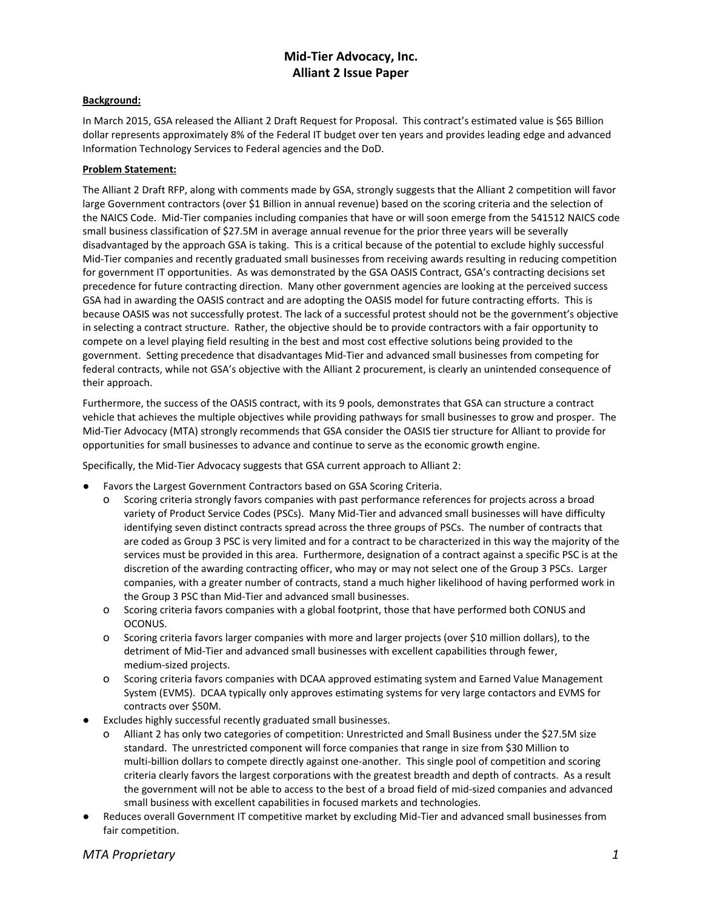# **Mid-Tier Advocacy, Inc. Alliant 2 Issue Paper**

### **Background:**

In March 2015, GSA released the Alliant 2 Draft Request for Proposal. This contract's estimated value is \$65 Billion dollar represents approximately 8% of the Federal IT budget over ten years and provides leading edge and advanced Information Technology Services to Federal agencies and the DoD.

#### **Problem Statement:**

The Alliant 2 Draft RFP, along with comments made by GSA, strongly suggests that the Alliant 2 competition will favor large Government contractors (over \$1 Billion in annual revenue) based on the scoring criteria and the selection of the NAICS Code. Mid-Tier companies including companies that have or will soon emerge from the 541512 NAICS code small business classification of \$27.5M in average annual revenue for the prior three years will be severally disadvantaged by the approach GSA is taking. This is a critical because of the potential to exclude highly successful Mid-Tier companies and recently graduated small businesses from receiving awards resulting in reducing competition for government IT opportunities. As was demonstrated by the GSA OASIS Contract, GSA's contracting decisions set precedence for future contracting direction. Many other government agencies are looking at the perceived success GSA had in awarding the OASIS contract and are adopting the OASIS model for future contracting efforts. This is because OASIS was not successfully protest. The lack of a successful protest should not be the government's objective in selecting a contract structure. Rather, the objective should be to provide contractors with a fair opportunity to compete on a level playing field resulting in the best and most cost effective solutions being provided to the government. Setting precedence that disadvantages Mid-Tier and advanced small businesses from competing for federal contracts, while not GSA's objective with the Alliant 2 procurement, is clearly an unintended consequence of their approach.

Furthermore, the success of the OASIS contract, with its 9 pools, demonstrates that GSA can structure a contract vehicle that achieves the multiple objectives while providing pathways for small businesses to grow and prosper. The Mid-Tier Advocacy (MTA) strongly recommends that GSA consider the OASIS tier structure for Alliant to provide for opportunities for small businesses to advance and continue to serve as the economic growth engine.

Specifically, the Mid-Tier Advocacy suggests that GSA current approach to Alliant 2:

- Favors the Largest Government Contractors based on GSA Scoring Criteria.
	- o Scoring criteria strongly favors companies with past performance references for projects across a broad variety of Product Service Codes (PSCs). Many Mid-Tier and advanced small businesses will have difficulty identifying seven distinct contracts spread across the three groups of PSCs. The number of contracts that are coded as Group 3 PSC is very limited and for a contract to be characterized in this way the majority of the services must be provided in this area. Furthermore, designation of a contract against a specific PSC is at the discretion of the awarding contracting officer, who may or may not select one of the Group 3 PSCs. Larger companies, with a greater number of contracts, stand a much higher likelihood of having performed work in the Group 3 PSC than Mid-Tier and advanced small businesses.
	- o Scoring criteria favors companies with a global footprint, those that have performed both CONUS and OCONUS.
	- o Scoring criteria favors larger companies with more and larger projects (over \$10 million dollars), to the detriment of Mid-Tier and advanced small businesses with excellent capabilities through fewer, medium-sized projects.
	- o Scoring criteria favors companies with DCAA approved estimating system and Earned Value Management System (EVMS). DCAA typically only approves estimating systems for very large contactors and EVMS for contracts over \$50M.
- Excludes highly successful recently graduated small businesses.
	- o Alliant 2 has only two categories of competition: Unrestricted and Small Business under the \$27.5M size standard. The unrestricted component will force companies that range in size from \$30 Million to multi-billion dollars to compete directly against one-another. This single pool of competition and scoring criteria clearly favors the largest corporations with the greatest breadth and depth of contracts. As a result the government will not be able to access to the best of a broad field of mid-sized companies and advanced small business with excellent capabilities in focused markets and technologies.
- Reduces overall Government IT competitive market by excluding Mid-Tier and advanced small businesses from fair competition.

# *MTA Proprietary 1*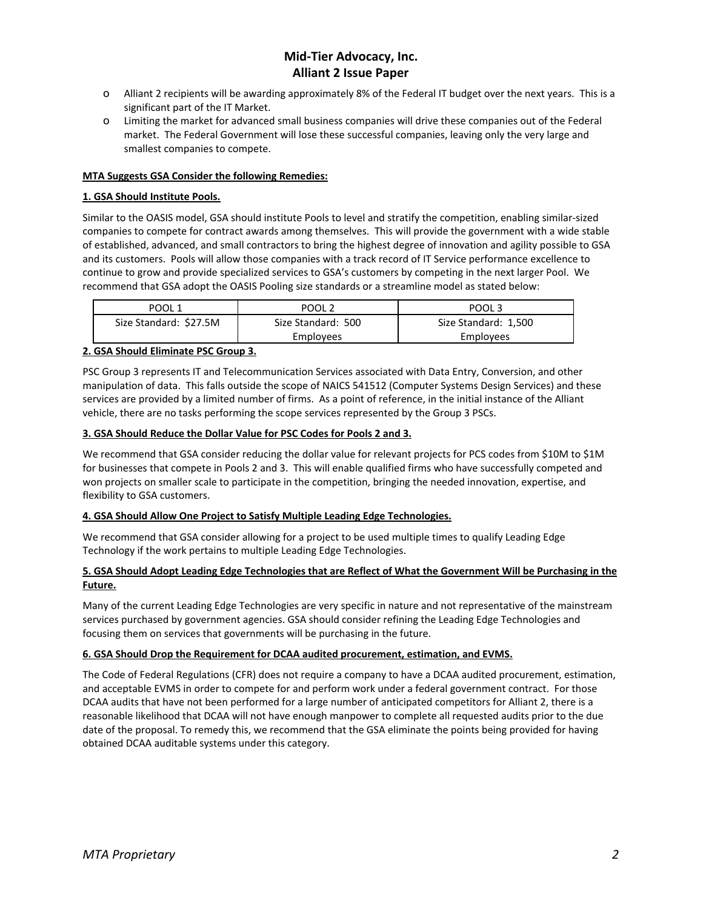# **Mid-Tier Advocacy, Inc. Alliant 2 Issue Paper**

- o Alliant 2 recipients will be awarding approximately 8% of the Federal IT budget over the next years. This is a significant part of the IT Market.
- o Limiting the market for advanced small business companies will drive these companies out of the Federal market. The Federal Government will lose these successful companies, leaving only the very large and smallest companies to compete.

#### **MTA Suggests GSA Consider the following Remedies:**

#### **1. GSA Should Institute Pools.**

Similar to the OASIS model, GSA should institute Pools to level and stratify the competition, enabling similar-sized companies to compete for contract awards among themselves. This will provide the government with a wide stable of established, advanced, and small contractors to bring the highest degree of innovation and agility possible to GSA and its customers. Pools will allow those companies with a track record of IT Service performance excellence to continue to grow and provide specialized services to GSA's customers by competing in the next larger Pool. We recommend that GSA adopt the OASIS Pooling size standards or a streamline model as stated below:

| POOL 1                 | POOL <sub>2</sub>  | POOL 3               |
|------------------------|--------------------|----------------------|
| Size Standard: \$27.5M | Size Standard: 500 | Size Standard: 1,500 |
|                        | <b>Employees</b>   | Employees            |

### **2. GSA Should Eliminate PSC Group 3.**

PSC Group 3 represents IT and Telecommunication Services associated with Data Entry, Conversion, and other manipulation of data. This falls outside the scope of NAICS 541512 (Computer Systems Design Services) and these services are provided by a limited number of firms. As a point of reference, in the initial instance of the Alliant vehicle, there are no tasks performing the scope services represented by the Group 3 PSCs.

### **3. GSA Should Reduce the Dollar Value for PSC Codes for Pools 2 and 3.**

We recommend that GSA consider reducing the dollar value for relevant projects for PCS codes from \$10M to \$1M for businesses that compete in Pools 2 and 3. This will enable qualified firms who have successfully competed and won projects on smaller scale to participate in the competition, bringing the needed innovation, expertise, and flexibility to GSA customers.

#### **4. GSA Should Allow One Project to Satisfy Multiple Leading Edge Technologies.**

We recommend that GSA consider allowing for a project to be used multiple times to qualify Leading Edge Technology if the work pertains to multiple Leading Edge Technologies.

# **5. GSA Should Adopt Leading Edge Technologies that are Reflect of What the Government Will be Purchasing in the Future.**

Many of the current Leading Edge Technologies are very specific in nature and not representative of the mainstream services purchased by government agencies. GSA should consider refining the Leading Edge Technologies and focusing them on services that governments will be purchasing in the future.

#### **6. GSA Should Drop the Requirement for DCAA audited procurement, estimation, and EVMS.**

The Code of Federal Regulations (CFR) does not require a company to have a DCAA audited procurement, estimation, and acceptable EVMS in order to compete for and perform work under a federal government contract. For those DCAA audits that have not been performed for a large number of anticipated competitors for Alliant 2, there is a reasonable likelihood that DCAA will not have enough manpower to complete all requested audits prior to the due date of the proposal. To remedy this, we recommend that the GSA eliminate the points being provided for having obtained DCAA auditable systems under this category.